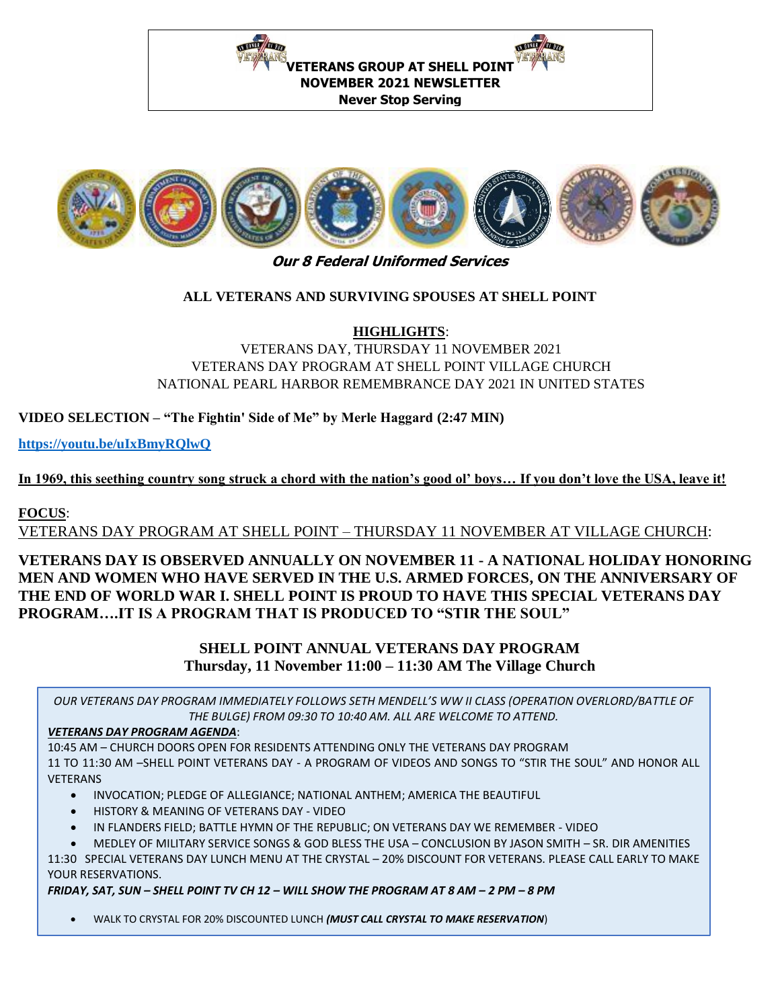



#### **Our 8 Federal Uniformed Services**

#### **ALL VETERANS AND SURVIVING SPOUSES AT SHELL POINT**

**HIGHLIGHTS**:

VETERANS DAY, THURSDAY 11 NOVEMBER 2021 VETERANS DAY PROGRAM AT SHELL POINT VILLAGE CHURCH NATIONAL PEARL HARBOR REMEMBRANCE DAY 2021 IN UNITED STATES

**VIDEO SELECTION – "The Fightin' Side of Me" by Merle Haggard (2:47 MIN)**

**<https://youtu.be/uIxBmyRQlwQ>**

**In 1969, this seething country song struck a chord with the nation's good ol' boys… If you don't love the USA, leave it!**

### **FOCUS**:

VETERANS DAY PROGRAM AT SHELL POINT – THURSDAY 11 NOVEMBER AT VILLAGE CHURCH:

### **VETERANS DAY IS OBSERVED ANNUALLY ON NOVEMBER 11 - A NATIONAL HOLIDAY HONORING MEN AND WOMEN WHO HAVE SERVED IN THE U.S. ARMED FORCES, ON THE ANNIVERSARY OF THE END OF WORLD WAR I. SHELL POINT IS PROUD TO HAVE THIS SPECIAL VETERANS DAY PROGRAM….IT IS A PROGRAM THAT IS PRODUCED TO "STIR THE SOUL"**

## **SHELL POINT ANNUAL VETERANS DAY PROGRAM Thursday, 11 November 11:00 – 11:30 AM The Village Church**

**Contact: Jim Stapleton, 404 247 0373, for more information** *OUR VETERANS DAY PROGRAM IMMEDIATELY FOLLOWS SETH MENDELL'S WW II CLASS (OPERATION OVERLORD/BATTLE OF THE BULGE) FROM 09:30 TO 10:40 AM. ALL ARE WELCOME TO ATTEND.*

### *VETERANS DAY PROGRAM AGENDA*:

10:45 AM – CHURCH DOORS OPEN FOR RESIDENTS ATTENDING ONLY THE VETERANS DAY PROGRAM 11 TO 11:30 AM –SHELL POINT VETERANS DAY - A PROGRAM OF VIDEOS AND SONGS TO "STIR THE SOUL" AND HONOR ALL VETERANS

- INVOCATION; PLEDGE OF ALLEGIANCE; NATIONAL ANTHEM; AMERICA THE BEAUTIFUL
- HISTORY & MEANING OF VETERANS DAY VIDEO
- IN FLANDERS FIELD; BATTLE HYMN OF THE REPUBLIC; ON VETERANS DAY WE REMEMBER VIDEO
- MEDLEY OF MILITARY SERVICE SONGS & GOD BLESS THE USA CONCLUSION BY JASON SMITH SR. DIR AMENITIES

11:30 SPECIAL VETERANS DAY LUNCH MENU AT THE CRYSTAL – 20% DISCOUNT FOR VETERANS. PLEASE CALL EARLY TO MAKE YOUR RESERVATIONS.

*FRIDAY, SAT, SUN – SHELL POINT TV CH 12 – WILL SHOW THE PROGRAM AT 8 AM – 2 PM – 8 PM*

• WALK TO CRYSTAL FOR 20% DISCOUNTED LUNCH *(MUST CALL CRYSTAL TO MAKE RESERVATION*)